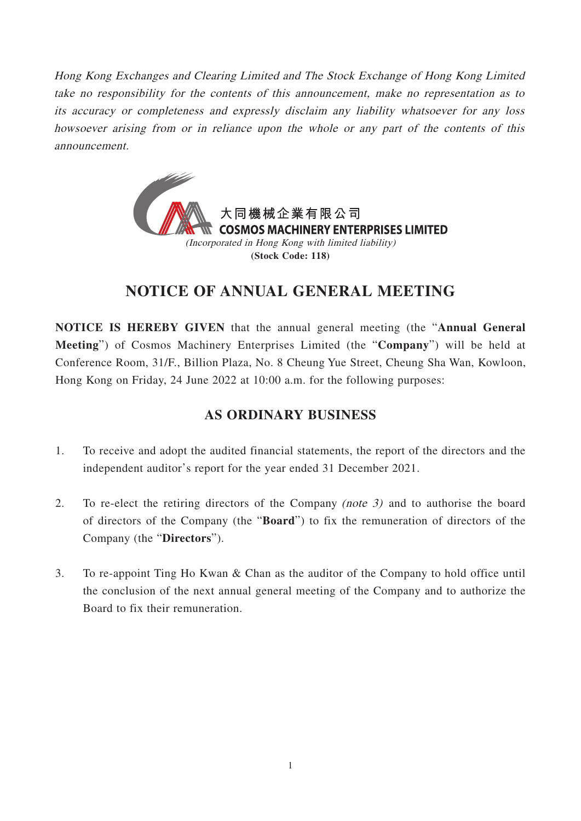Hong Kong Exchanges and Clearing Limited and The Stock Exchange of Hong Kong Limited take no responsibility for the contents of this announcement, make no representation as to its accuracy or completeness and expressly disclaim any liability whatsoever for any loss howsoever arising from or in reliance upon the whole or any part of the contents of this announcement.



# **NOTICE OF ANNUAL GENERAL MEETING**

**NOTICE IS HEREBY GIVEN** that the annual general meeting (the "**Annual General Meeting**") of Cosmos Machinery Enterprises Limited (the "**Company**") will be held at Conference Room, 31/F., Billion Plaza, No. 8 Cheung Yue Street, Cheung Sha Wan, Kowloon, Hong Kong on Friday, 24 June 2022 at 10:00 a.m. for the following purposes:

## **AS ORDINARY BUSINESS**

- 1. To receive and adopt the audited financial statements, the report of the directors and the independent auditor's report for the year ended 31 December 2021.
- 2. To re-elect the retiring directors of the Company (note 3) and to authorise the board of directors of the Company (the "**Board**") to fix the remuneration of directors of the Company (the "**Directors**").
- 3. To re-appoint Ting Ho Kwan & Chan as the auditor of the Company to hold office until the conclusion of the next annual general meeting of the Company and to authorize the Board to fix their remuneration.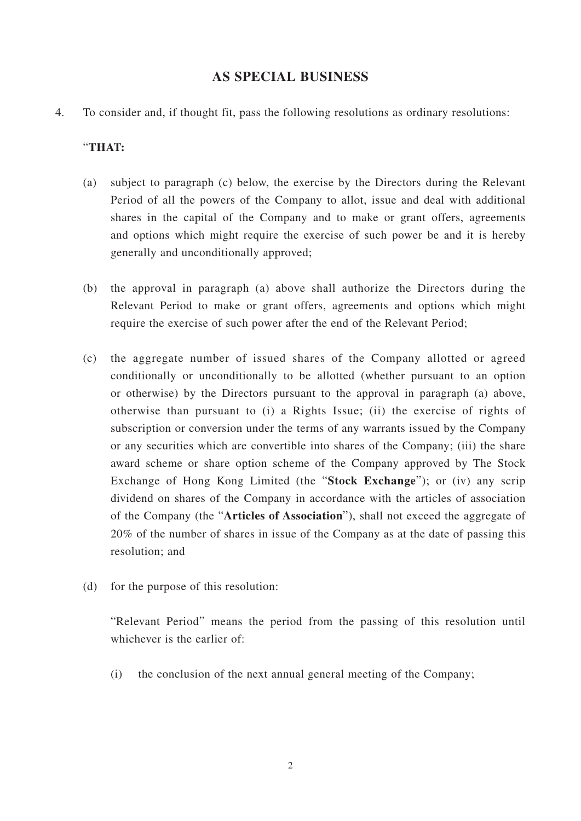### **AS SPECIAL BUSINESS**

4. To consider and, if thought fit, pass the following resolutions as ordinary resolutions:

#### "**THAT:**

- (a) subject to paragraph (c) below, the exercise by the Directors during the Relevant Period of all the powers of the Company to allot, issue and deal with additional shares in the capital of the Company and to make or grant offers, agreements and options which might require the exercise of such power be and it is hereby generally and unconditionally approved;
- (b) the approval in paragraph (a) above shall authorize the Directors during the Relevant Period to make or grant offers, agreements and options which might require the exercise of such power after the end of the Relevant Period;
- (c) the aggregate number of issued shares of the Company allotted or agreed conditionally or unconditionally to be allotted (whether pursuant to an option or otherwise) by the Directors pursuant to the approval in paragraph (a) above, otherwise than pursuant to (i) a Rights Issue; (ii) the exercise of rights of subscription or conversion under the terms of any warrants issued by the Company or any securities which are convertible into shares of the Company; (iii) the share award scheme or share option scheme of the Company approved by The Stock Exchange of Hong Kong Limited (the "**Stock Exchange**"); or (iv) any scrip dividend on shares of the Company in accordance with the articles of association of the Company (the "**Articles of Association**"), shall not exceed the aggregate of 20% of the number of shares in issue of the Company as at the date of passing this resolution; and
- (d) for the purpose of this resolution:

"Relevant Period" means the period from the passing of this resolution until whichever is the earlier of:

(i) the conclusion of the next annual general meeting of the Company;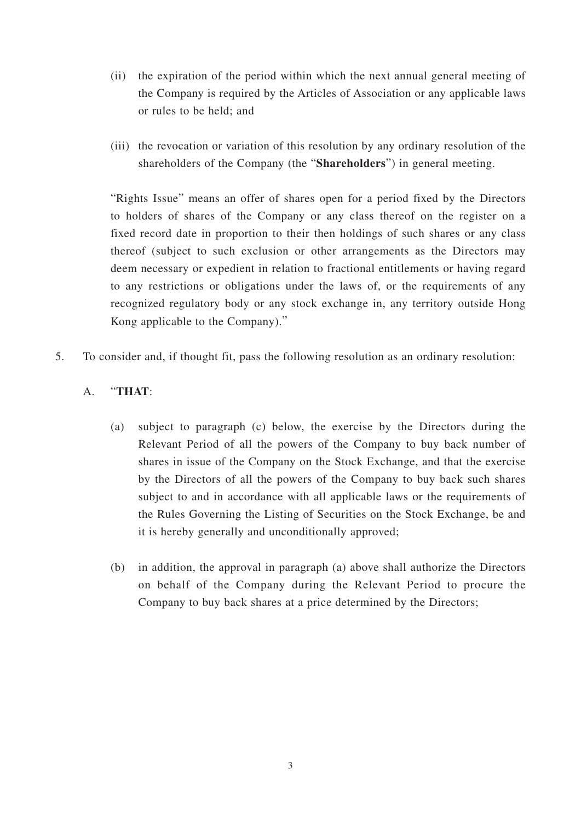- (ii) the expiration of the period within which the next annual general meeting of the Company is required by the Articles of Association or any applicable laws or rules to be held; and
- (iii) the revocation or variation of this resolution by any ordinary resolution of the shareholders of the Company (the "**Shareholders**") in general meeting.

"Rights Issue" means an offer of shares open for a period fixed by the Directors to holders of shares of the Company or any class thereof on the register on a fixed record date in proportion to their then holdings of such shares or any class thereof (subject to such exclusion or other arrangements as the Directors may deem necessary or expedient in relation to fractional entitlements or having regard to any restrictions or obligations under the laws of, or the requirements of any recognized regulatory body or any stock exchange in, any territory outside Hong Kong applicable to the Company)."

- 5. To consider and, if thought fit, pass the following resolution as an ordinary resolution:
	- A. "**THAT**:
		- (a) subject to paragraph (c) below, the exercise by the Directors during the Relevant Period of all the powers of the Company to buy back number of shares in issue of the Company on the Stock Exchange, and that the exercise by the Directors of all the powers of the Company to buy back such shares subject to and in accordance with all applicable laws or the requirements of the Rules Governing the Listing of Securities on the Stock Exchange, be and it is hereby generally and unconditionally approved;
		- (b) in addition, the approval in paragraph (a) above shall authorize the Directors on behalf of the Company during the Relevant Period to procure the Company to buy back shares at a price determined by the Directors;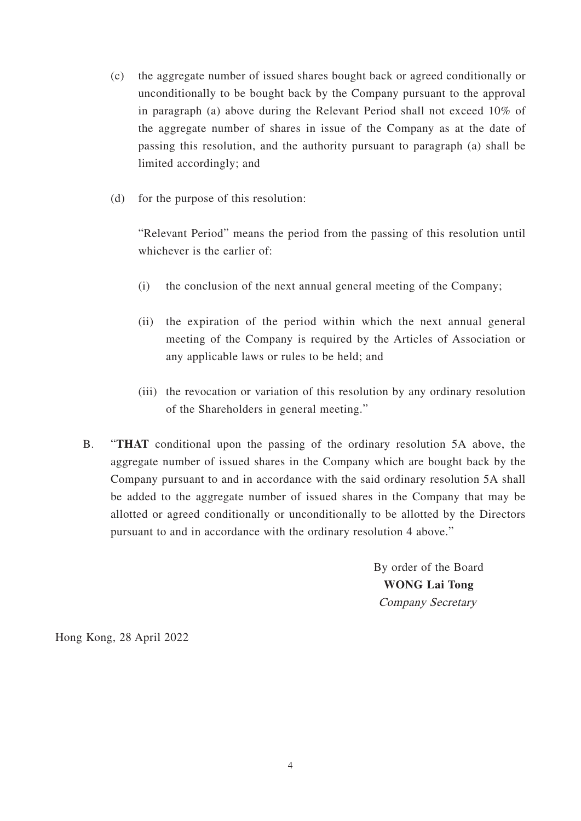- (c) the aggregate number of issued shares bought back or agreed conditionally or unconditionally to be bought back by the Company pursuant to the approval in paragraph (a) above during the Relevant Period shall not exceed 10% of the aggregate number of shares in issue of the Company as at the date of passing this resolution, and the authority pursuant to paragraph (a) shall be limited accordingly; and
- (d) for the purpose of this resolution:

"Relevant Period" means the period from the passing of this resolution until whichever is the earlier of:

- (i) the conclusion of the next annual general meeting of the Company;
- (ii) the expiration of the period within which the next annual general meeting of the Company is required by the Articles of Association or any applicable laws or rules to be held; and
- (iii) the revocation or variation of this resolution by any ordinary resolution of the Shareholders in general meeting."
- B. "**THAT** conditional upon the passing of the ordinary resolution 5A above, the aggregate number of issued shares in the Company which are bought back by the Company pursuant to and in accordance with the said ordinary resolution 5A shall be added to the aggregate number of issued shares in the Company that may be allotted or agreed conditionally or unconditionally to be allotted by the Directors pursuant to and in accordance with the ordinary resolution 4 above."

By order of the Board **WONG Lai Tong** Company Secretary

Hong Kong, 28 April 2022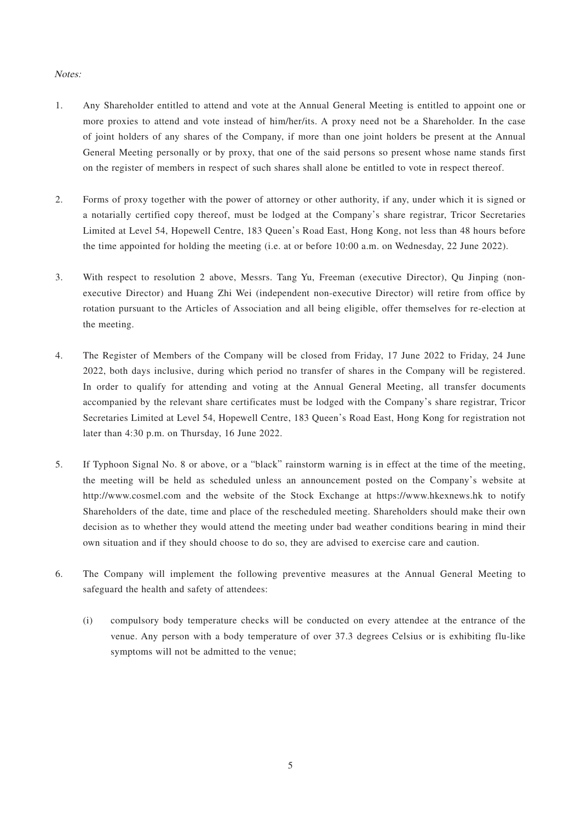#### Notes:

- 1. Any Shareholder entitled to attend and vote at the Annual General Meeting is entitled to appoint one or more proxies to attend and vote instead of him/her/its. A proxy need not be a Shareholder. In the case of joint holders of any shares of the Company, if more than one joint holders be present at the Annual General Meeting personally or by proxy, that one of the said persons so present whose name stands first on the register of members in respect of such shares shall alone be entitled to vote in respect thereof.
- 2. Forms of proxy together with the power of attorney or other authority, if any, under which it is signed or a notarially certified copy thereof, must be lodged at the Company's share registrar, Tricor Secretaries Limited at Level 54, Hopewell Centre, 183 Queen's Road East, Hong Kong, not less than 48 hours before the time appointed for holding the meeting (i.e. at or before 10:00 a.m. on Wednesday, 22 June 2022).
- 3. With respect to resolution 2 above, Messrs. Tang Yu, Freeman (executive Director), Qu Jinping (nonexecutive Director) and Huang Zhi Wei (independent non-executive Director) will retire from office by rotation pursuant to the Articles of Association and all being eligible, offer themselves for re-election at the meeting.
- 4. The Register of Members of the Company will be closed from Friday, 17 June 2022 to Friday, 24 June 2022, both days inclusive, during which period no transfer of shares in the Company will be registered. In order to qualify for attending and voting at the Annual General Meeting, all transfer documents accompanied by the relevant share certificates must be lodged with the Company's share registrar, Tricor Secretaries Limited at Level 54, Hopewell Centre, 183 Queen's Road East, Hong Kong for registration not later than 4:30 p.m. on Thursday, 16 June 2022.
- 5. If Typhoon Signal No. 8 or above, or a "black" rainstorm warning is in effect at the time of the meeting, the meeting will be held as scheduled unless an announcement posted on the Company's website at http://www.cosmel.com and the website of the Stock Exchange at https://www.hkexnews.hk to notify Shareholders of the date, time and place of the rescheduled meeting. Shareholders should make their own decision as to whether they would attend the meeting under bad weather conditions bearing in mind their own situation and if they should choose to do so, they are advised to exercise care and caution.
- 6. The Company will implement the following preventive measures at the Annual General Meeting to safeguard the health and safety of attendees:
	- (i) compulsory body temperature checks will be conducted on every attendee at the entrance of the venue. Any person with a body temperature of over 37.3 degrees Celsius or is exhibiting flu-like symptoms will not be admitted to the venue;